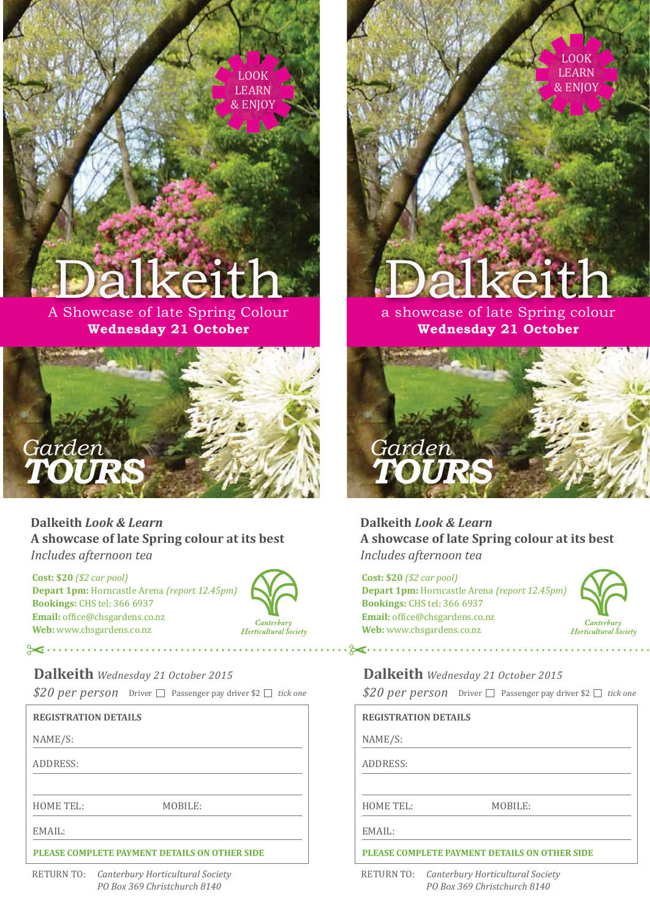LOOK LEARN & ENJOY

## Dalkeith

## a showcase of late Spring colour **Wednesday 21 October**



**Dalkeith** *Look & Learn* **A showcase of late Spring colour at its best** *Includes afternoon tea*

**Cost: \$20** *(\$2 car pool)* **Depart 1pm:** Horncastle Arena *(report 12.45pm)* **Bookings:** CHS tel: 366 6937 Email: office@chsgardens.co.nz **Web:** www.chsgardens.co.nz



Horticultural Šociety

*\$20 per person* **Dalkeith** *Wednesday 21 October 2015* Driver □ Passenger pay driver \$2 □ tick one

## **REGISTRATION DETAILS**

NAME/S:

ADDRESS:



MOBILE: